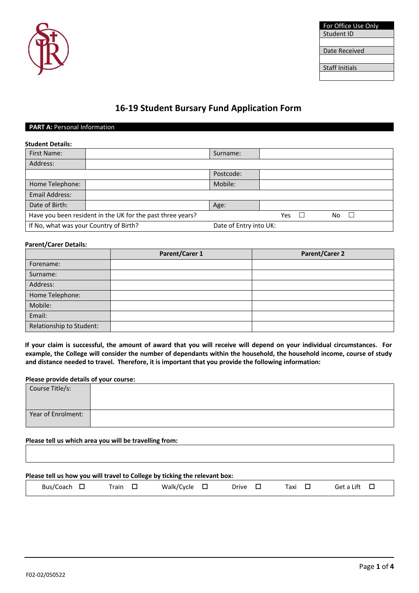

| For Office Use Only |
|---------------------|
| Student ID          |
|                     |
| Date Received       |
|                     |
| Staff Initials      |
|                     |

# **16-19 Student Bursary Fund Application Form**

## **PART A: Personal Information**

| <b>Student Details:</b>                                          |                                                            |           |     |     |  |
|------------------------------------------------------------------|------------------------------------------------------------|-----------|-----|-----|--|
| <b>First Name:</b>                                               |                                                            | Surname:  |     |     |  |
| Address:                                                         |                                                            |           |     |     |  |
|                                                                  |                                                            | Postcode: |     |     |  |
| Home Telephone:                                                  |                                                            | Mobile:   |     |     |  |
| Email Address:                                                   |                                                            |           |     |     |  |
| Date of Birth:                                                   |                                                            | Age:      |     |     |  |
|                                                                  | Have you been resident in the UK for the past three years? |           | Yes | No. |  |
| If No, what was your Country of Birth?<br>Date of Entry into UK: |                                                            |           |     |     |  |

### **Parent/Carer Details:**

|                          | Parent/Carer 1 | <b>Parent/Carer 2</b> |
|--------------------------|----------------|-----------------------|
| Forename:                |                |                       |
| Surname:                 |                |                       |
| Address:                 |                |                       |
| Home Telephone:          |                |                       |
| Mobile:                  |                |                       |
| Email:                   |                |                       |
| Relationship to Student: |                |                       |

**If your claim is successful, the amount of award that you will receive will depend on your individual circumstances. For example, the College will consider the number of dependants within the household, the household income, course of study and distance needed to travel. Therefore, it is important that you provide the following information:**

### **Please provide details of your course:**

| Course Title/s:    |  |
|--------------------|--|
|                    |  |
| Year of Enrolment: |  |
|                    |  |

**Please tell us which area you will be travelling from:**

| Please tell us how you will travel to College by ticking the relevant box: |       |                      |       |      |              |
|----------------------------------------------------------------------------|-------|----------------------|-------|------|--------------|
| Bus/Coach $\Box$                                                           | Train | Walk/Cvcle $\square$ | Drive | Taxi | Get a Lift 口 |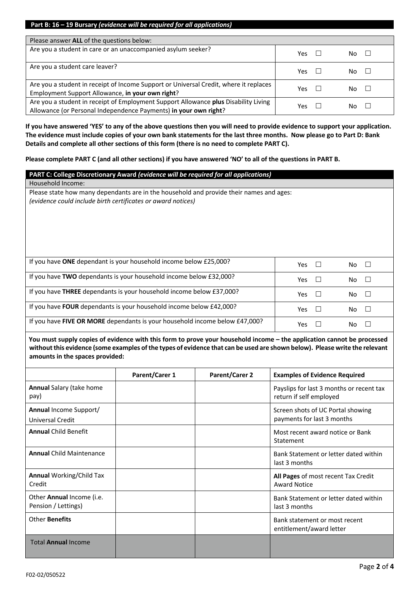| Please answer ALL of the questions below:                                                                                                               |      |     |
|---------------------------------------------------------------------------------------------------------------------------------------------------------|------|-----|
| Are you a student in care or an unaccompanied asylum seeker?                                                                                            | Yes. | No. |
| Are you a student care leaver?                                                                                                                          | Yes  | No. |
| Are you a student in receipt of Income Support or Universal Credit, where it replaces<br>Employment Support Allowance, in your own right?               | Yes  | Nο  |
| Are you a student in receipt of Employment Support Allowance plus Disability Living<br>Allowance (or Personal Independence Payments) in your own right? | Yes  | No. |

**If you have answered 'YES' to any of the above questions then you will need to provide evidence to support your application. The evidence must include copies of your own bank statements for the last three months. Now please go to Part D: Bank Details and complete all other sections of this form (there is no need to complete PART C).**

**Please complete PART C (and all other sections) if you have answered 'NO' to all of the questions in PART B.**

| PART C: College Discretionary Award (evidence will be required for all applications)                                                                    |            |         |
|---------------------------------------------------------------------------------------------------------------------------------------------------------|------------|---------|
| Household Income:                                                                                                                                       |            |         |
| Please state how many dependants are in the household and provide their names and ages:<br>(evidence could include birth certificates or award notices) |            |         |
| If you have ONE dependant is your household income below £25,000?                                                                                       | Yes        | No      |
| If you have TWO dependants is your household income below £32,000?                                                                                      | <b>Yes</b> | No      |
| If you have THREE dependants is your household income below £37,000?                                                                                    | <b>Yes</b> | No<br>L |
| If you have <b>FOUR</b> dependants is your household income below £42,000?                                                                              | <b>Yes</b> | No      |
| If you have FIVE OR MORE dependants is your household income below £47,000?                                                                             | Yes        | No      |

**You must supply copies of evidence with this form to prove your household income – the application cannot be processed without this evidence (some examples of the types of evidence that can be used are shown below). Please write the relevant amounts in the spaces provided:**

|                                                          | Parent/Carer 1 | <b>Parent/Carer 2</b> | <b>Examples of Evidence Required</b>                                |
|----------------------------------------------------------|----------------|-----------------------|---------------------------------------------------------------------|
| <b>Annual Salary (take home</b><br>pay)                  |                |                       | Payslips for last 3 months or recent tax<br>return if self employed |
| <b>Annual Income Support/</b><br><b>Universal Credit</b> |                |                       | Screen shots of UC Portal showing<br>payments for last 3 months     |
| <b>Annual Child Benefit</b>                              |                |                       | Most recent award notice or Bank<br>Statement                       |
| <b>Annual Child Maintenance</b>                          |                |                       | Bank Statement or letter dated within<br>last 3 months              |
| <b>Annual Working/Child Tax</b><br>Credit                |                |                       | All Pages of most recent Tax Credit<br><b>Award Notice</b>          |
| Other Annual Income (i.e.<br>Pension / Lettings)         |                |                       | Bank Statement or letter dated within<br>last 3 months              |
| Other Benefits                                           |                |                       | Bank statement or most recent<br>entitlement/award letter           |
| <b>Total Annual Income</b>                               |                |                       |                                                                     |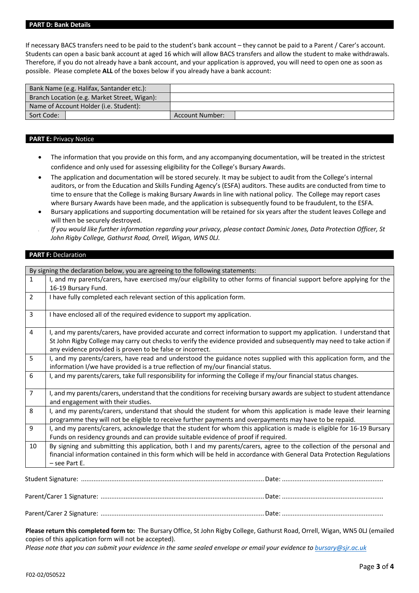#### **PART D: Bank Details**

If necessary BACS transfers need to be paid to the student's bank account – they cannot be paid to a Parent / Carer's account. Students can open a basic bank account at aged 16 which will allow BACS transfers and allow the student to make withdrawals. Therefore, if you do not already have a bank account, and your application is approved, you will need to open one as soon as possible. Please complete **ALL** of the boxes below if you already have a bank account:

| Bank Name (e.g. Halifax, Santander etc.):    |                        |  |
|----------------------------------------------|------------------------|--|
| Branch Location (e.g. Market Street, Wigan): |                        |  |
| Name of Account Holder (i.e. Student):       |                        |  |
| Sort Code:                                   | <b>Account Number:</b> |  |

#### **PART E: Privacy Notice**

- The information that you provide on this form, and any accompanying documentation, will be treated in the strictest confidence and only used for assessing eligibility for the College's Bursary Awards.
- The application and documentation will be stored securely. It may be subject to audit from the College's internal auditors, or from the Education and Skills Funding Agency's (ESFA) auditors. These audits are conducted from time to time to ensure that the College is making Bursary Awards in line with national policy. The College may report cases where Bursary Awards have been made, and the application is subsequently found to be fraudulent, to the ESFA.
- Bursary applications and supporting documentation will be retained for six years after the student leaves College and will then be securely destroyed.
- *If you would like further information regarding your privacy, please contact Dominic Jones, Data Protection Officer, St John Rigby College, Gathurst Road, Orrell, Wigan, WN5 0LJ.*

#### **PART F: Declaration**

|                | By signing the declaration below, you are agreeing to the following statements:                                         |
|----------------|-------------------------------------------------------------------------------------------------------------------------|
| $\mathbf{1}$   | I, and my parents/carers, have exercised my/our eligibility to other forms of financial support before applying for the |
|                | 16-19 Bursary Fund.                                                                                                     |
| $\overline{2}$ | I have fully completed each relevant section of this application form.                                                  |
|                |                                                                                                                         |
| 3              | I have enclosed all of the required evidence to support my application.                                                 |
|                |                                                                                                                         |
| 4              | I, and my parents/carers, have provided accurate and correct information to support my application. I understand that   |
|                | St John Rigby College may carry out checks to verify the evidence provided and subsequently may need to take action if  |
|                | any evidence provided is proven to be false or incorrect.                                                               |
| 5              | I, and my parents/carers, have read and understood the guidance notes supplied with this application form, and the      |
|                | information I/we have provided is a true reflection of my/our financial status.                                         |
| 6              | I, and my parents/carers, take full responsibility for informing the College if my/our financial status changes.        |
|                |                                                                                                                         |
| $\overline{7}$ | I, and my parents/carers, understand that the conditions for receiving bursary awards are subject to student attendance |
|                | and engagement with their studies.                                                                                      |
| 8              | I, and my parents/carers, understand that should the student for whom this application is made leave their learning     |
|                | programme they will not be eligible to receive further payments and overpayments may have to be repaid.                 |
| 9              | I, and my parents/carers, acknowledge that the student for whom this application is made is eligible for 16-19 Bursary  |
|                | Funds on residency grounds and can provide suitable evidence of proof if required.                                      |
| 10             | By signing and submitting this application, both I and my parents/carers, agree to the collection of the personal and   |
|                | financial information contained in this form which will be held in accordance with General Data Protection Regulations  |
|                | $-$ see Part E.                                                                                                         |
|                |                                                                                                                         |
|                |                                                                                                                         |
|                |                                                                                                                         |

Parent/Carer 1 Signature: ............................................................................................Date: ......................................................... Parent/Carer 2 Signature: ............................................................................................Date: .........................................................

**Please return this completed form to:** The Bursary Office, St John Rigby College, Gathurst Road, Orrell, Wigan, WN5 0LJ (emailed copies of this application form will not be accepted).

*Please note that you can submit your evidence in the same sealed envelope or email your evidence to bursary@sjr.ac.uk*